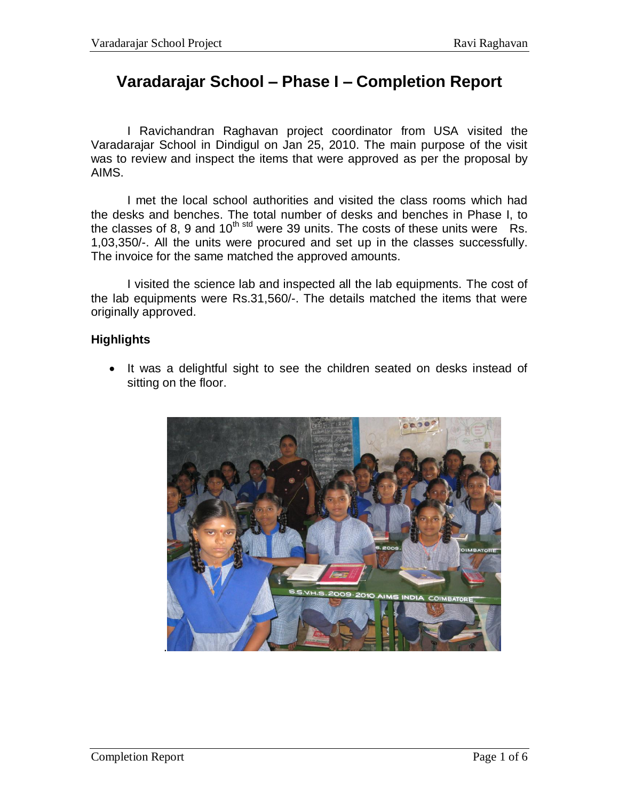## **Varadarajar School – Phase I – Completion Report**

I Ravichandran Raghavan project coordinator from USA visited the Varadarajar School in Dindigul on Jan 25, 2010. The main purpose of the visit was to review and inspect the items that were approved as per the proposal by AIMS.

I met the local school authorities and visited the class rooms which had the desks and benches. The total number of desks and benches in Phase I, to the classes of 8, 9 and  $10^{th}$  std were 39 units. The costs of these units were Rs. 1,03,350/-. All the units were procured and set up in the classes successfully. The invoice for the same matched the approved amounts.

I visited the science lab and inspected all the lab equipments. The cost of the lab equipments were Rs.31,560/-. The details matched the items that were originally approved.

## **Highlights**

• It was a delightful sight to see the children seated on desks instead of sitting on the floor.

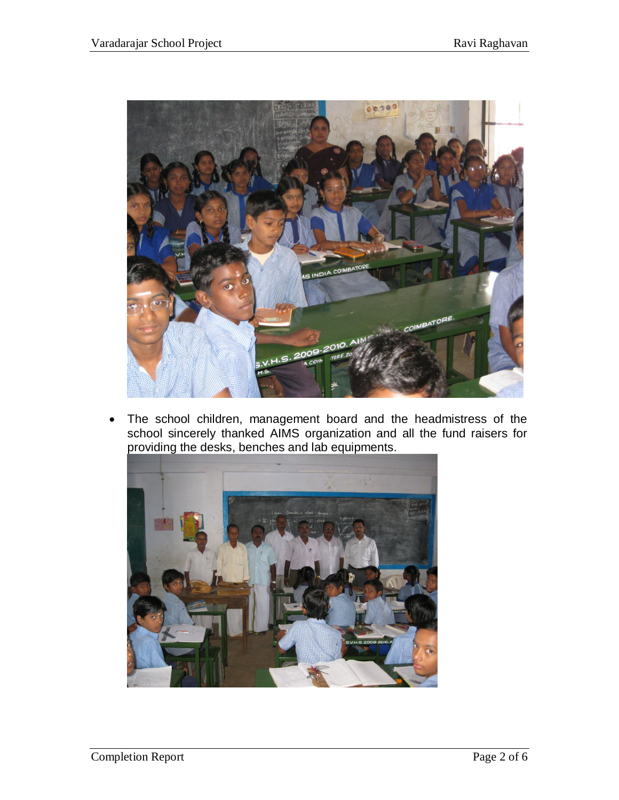

 The school children, management board and the headmistress of the school sincerely thanked AIMS organization and all the fund raisers for providing the desks, benches and lab equipments.

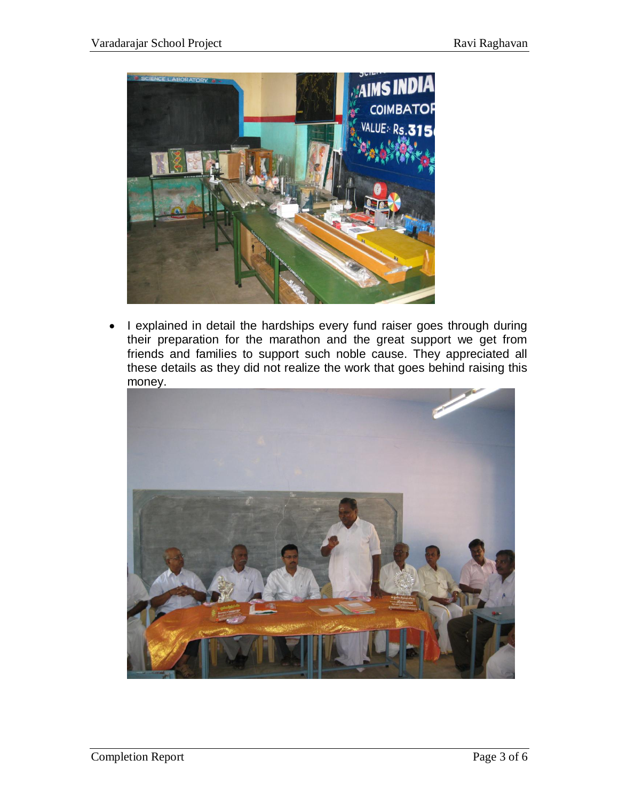

• I explained in detail the hardships every fund raiser goes through during their preparation for the marathon and the great support we get from friends and families to support such noble cause. They appreciated all these details as they did not realize the work that goes behind raising this money.

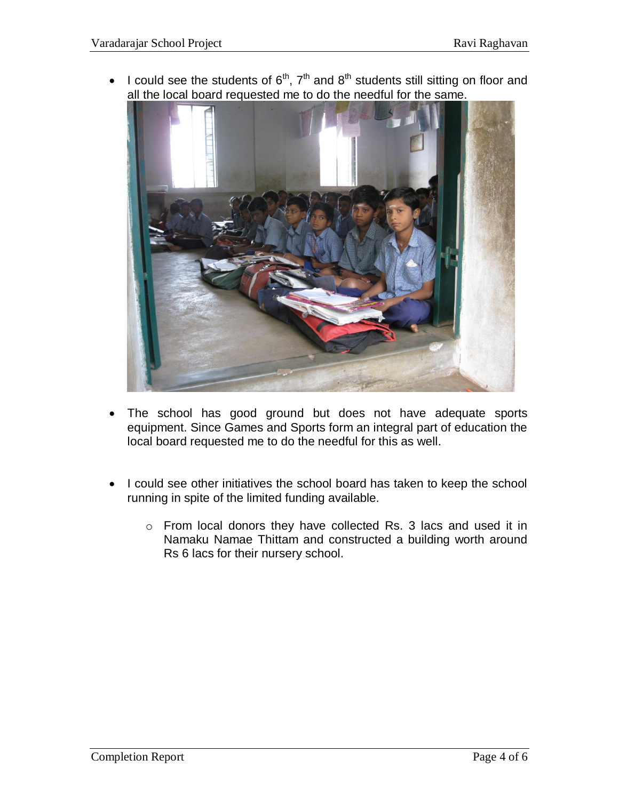I could see the students of  $6<sup>th</sup>$ ,  $7<sup>th</sup>$  and  $8<sup>th</sup>$  students still sitting on floor and all the local board requested me to do the needful for the same.



- The school has good ground but does not have adequate sports equipment. Since Games and Sports form an integral part of education the local board requested me to do the needful for this as well.
- I could see other initiatives the school board has taken to keep the school running in spite of the limited funding available.
	- o From local donors they have collected Rs. 3 lacs and used it in Namaku Namae Thittam and constructed a building worth around Rs 6 lacs for their nursery school.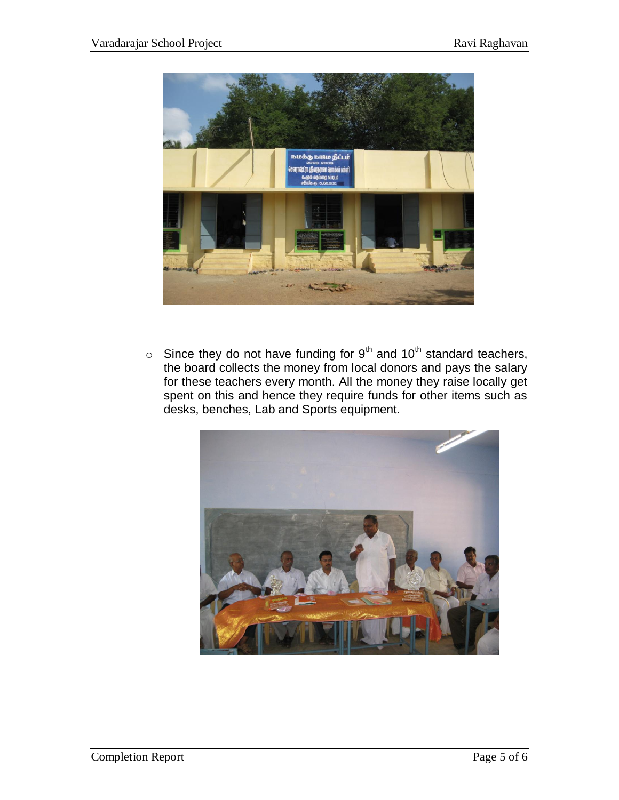

 $\circ$  Since they do not have funding for 9<sup>th</sup> and 10<sup>th</sup> standard teachers, the board collects the money from local donors and pays the salary for these teachers every month. All the money they raise locally get spent on this and hence they require funds for other items such as desks, benches, Lab and Sports equipment.